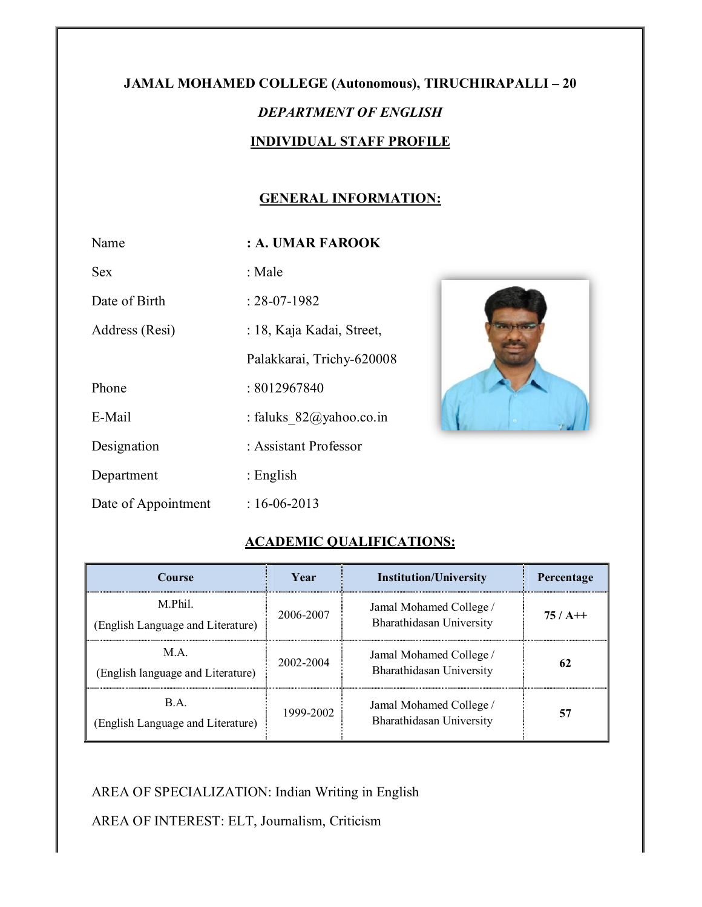# **JAMAL MOHAMED COLLEGE (Autonomous), TIRUCHIRAPALLI – 20**  *DEPARTMENT OF ENGLISH*  **INDIVIDUAL STAFF PROFILE**

# **GENERAL INFORMATION:**

| Name                | : A. UMAR FAROOK           |
|---------------------|----------------------------|
| Sex                 | : Male                     |
| Date of Birth       | $: 28-07-1982$             |
| Address (Resi)      | : 18, Kaja Kadai, Street,  |
|                     | Palakkarai, Trichy-620008  |
| Phone               | : 8012967840               |
| E-Mail              | : faluks $82@$ yahoo.co.in |
| Designation         | : Assistant Professor      |
| Department          | : English                  |
| Date of Appointment | $: 16 - 06 - 2013$         |



# **ACADEMIC QUALIFICATIONS:**

| <b>Course</b>                               | Vear      | <b>Institution/University</b>                       | Percentage |
|---------------------------------------------|-----------|-----------------------------------------------------|------------|
| M Phil<br>(English Language and Literature) | 2006-2007 | Jamal Mohamed College /<br>Bharathidasan University | $75/$ A++  |
| M A<br>(English language and Literature)    | 2002-2004 | Jamal Mohamed College /<br>Bharathidasan University | 62         |
| B A<br>(English Language and Literature)    | 1999-2002 | Jamal Mohamed College /<br>Bharathidasan University | 57         |

# AREA OF SPECIALIZATION: Indian Writing in English

AREA OF INTEREST: ELT, Journalism, Criticism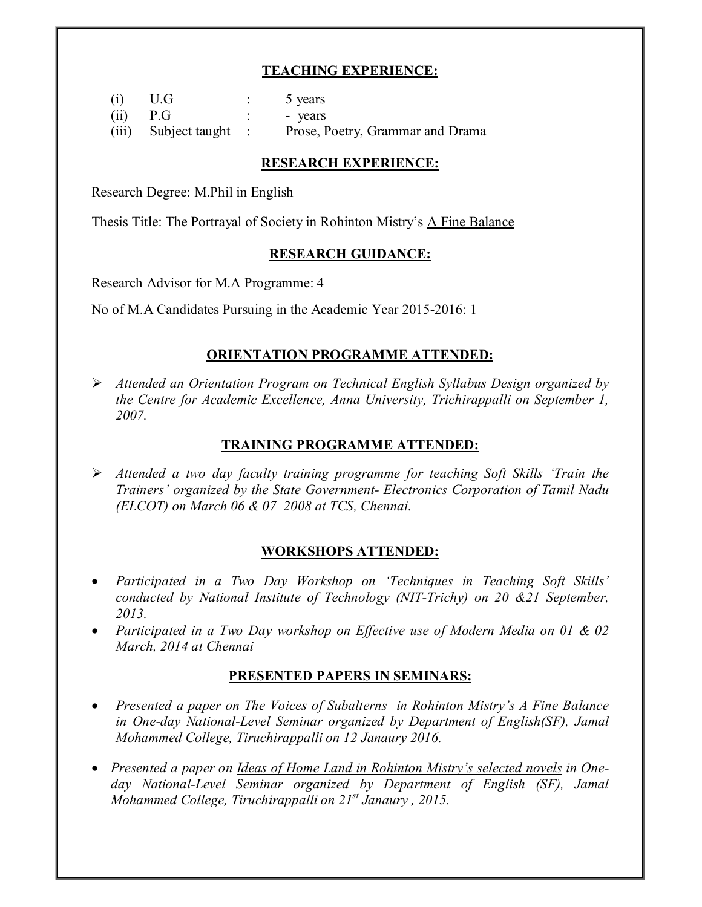# **TEACHING EXPERIENCE:**

| (i)        | U.G                    | 5 years                          |
|------------|------------------------|----------------------------------|
| $(ii)$ P.G |                        | - years                          |
|            | (iii) Subject taught : | Prose, Poetry, Grammar and Drama |

#### **RESEARCH EXPERIENCE:**

Research Degree: M.Phil in English

Thesis Title: The Portrayal of Society in Rohinton Mistry's A Fine Balance

#### **RESEARCH GUIDANCE:**

Research Advisor for M.A Programme: 4

No of M.A Candidates Pursuing in the Academic Year 2015-2016: 1

#### **ORIENTATION PROGRAMME ATTENDED:**

 *Attended an Orientation Program on Technical English Syllabus Design organized by the Centre for Academic Excellence, Anna University, Trichirappalli on September 1, 2007.* 

#### **TRAINING PROGRAMME ATTENDED:**

 *Attended a two day faculty training programme for teaching Soft Skills 'Train the Trainers' organized by the State Government- Electronics Corporation of Tamil Nadu (ELCOT) on March 06 & 07 2008 at TCS, Chennai.*

# **WORKSHOPS ATTENDED:**

- *Participated in a Two Day Workshop on 'Techniques in Teaching Soft Skills' conducted by National Institute of Technology (NIT-Trichy) on 20 &21 September, 2013.*
- *Participated in a Two Day workshop on Effective use of Modern Media on 01 & 02 March, 2014 at Chennai*

# **PRESENTED PAPERS IN SEMINARS:**

- *Presented a paper on The Voices of Subalterns in Rohinton Mistry's A Fine Balance in One-day National-Level Seminar organized by Department of English(SF), Jamal Mohammed College, Tiruchirappalli on 12 Janaury 2016.*
- *Presented a paper on Ideas of Home Land in Rohinton Mistry's selected novels in Oneday National-Level Seminar organized by Department of English (SF), Jamal Mohammed College, Tiruchirappalli on 21st Janaury , 2015.*